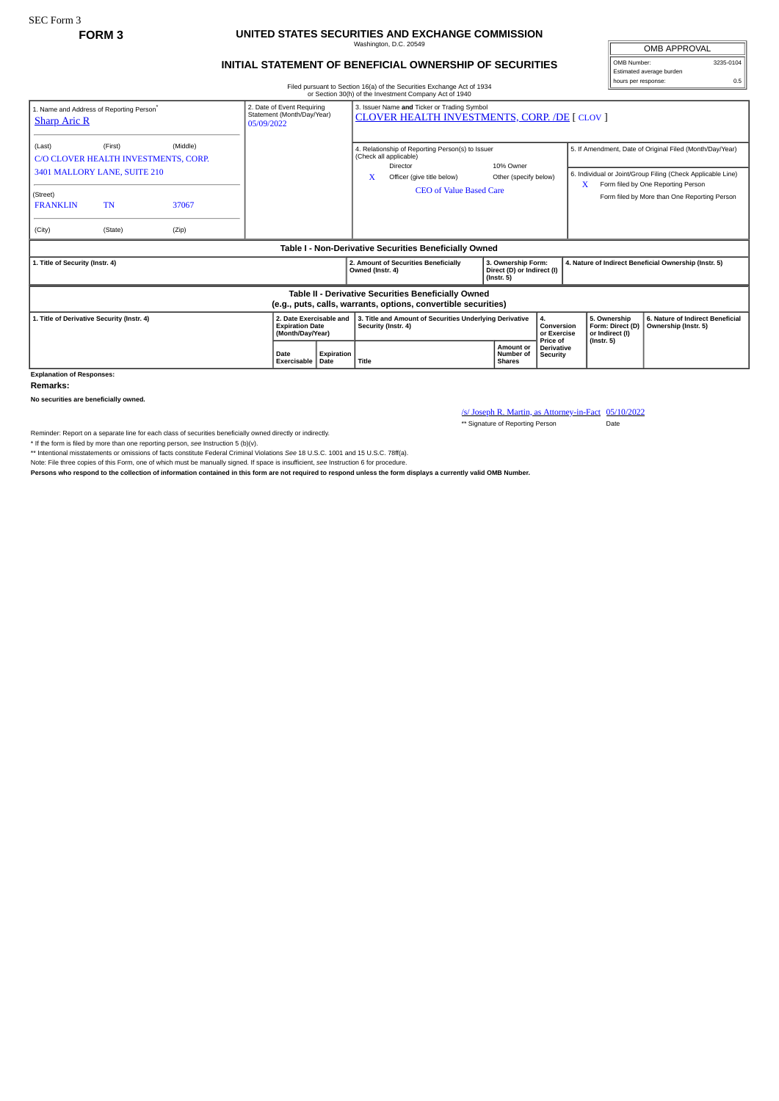## **FORM 3 UNITED STATES SECURITIES AND EXCHANGE COMMISSION** Washington, D.C. 20549

## **INITIAL STATEMENT OF BENEFICIAL OWNERSHIP OF SECURITIES**

OMB APPROVAL OMB Number: 3235-0104 Estimated average burden hours per response: 0.5

## Filed pursuant to Section 16(a) of the Securities Exchange Act of 1934 or Section 30(h) of the Investment Company Act of 1940

| 1. Name and Address of Reporting Person <sup>®</sup><br><b>Sharp Aric R</b>                                                              |         |                            | 2. Date of Event Requiring<br>Statement (Month/Day/Year)<br>05/09/2022 | 3. Issuer Name and Ticker or Trading Symbol<br><b>CLOVER HEALTH INVESTMENTS, CORP. /DE [ CLOV ]</b> |                                                                                |                                                                                                                                                        |  |                                                                      |                                           |                                                       |                                                     |                                                                                                                                                                                                               |
|------------------------------------------------------------------------------------------------------------------------------------------|---------|----------------------------|------------------------------------------------------------------------|-----------------------------------------------------------------------------------------------------|--------------------------------------------------------------------------------|--------------------------------------------------------------------------------------------------------------------------------------------------------|--|----------------------------------------------------------------------|-------------------------------------------|-------------------------------------------------------|-----------------------------------------------------|---------------------------------------------------------------------------------------------------------------------------------------------------------------------------------------------------------------|
| (First)<br>(Last)<br>C/O CLOVER HEALTH INVESTMENTS, CORP.<br>3401 MALLORY LANE, SUITE 210<br>(Street)<br>TN<br><b>FRANKLIN</b><br>(City) | (State) | (Middle)<br>37067<br>(Zip) |                                                                        |                                                                                                     | $\mathbf x$                                                                    | 4. Relationship of Reporting Person(s) to Issuer<br>(Check all applicable)<br>Director<br>Officer (give title below)<br><b>CEO of Value Based Care</b> |  | 10% Owner<br>Other (specify below)                                   |                                           | x                                                     |                                                     | 5. If Amendment, Date of Original Filed (Month/Day/Year)<br>6. Individual or Joint/Group Filing (Check Applicable Line)<br>Form filed by One Reporting Person<br>Form filed by More than One Reporting Person |
| Table I - Non-Derivative Securities Beneficially Owned                                                                                   |         |                            |                                                                        |                                                                                                     |                                                                                |                                                                                                                                                        |  |                                                                      |                                           |                                                       |                                                     |                                                                                                                                                                                                               |
| 1. Title of Security (Instr. 4)                                                                                                          |         |                            |                                                                        |                                                                                                     | Owned (Instr. 4)                                                               | 2. Amount of Securities Beneficially                                                                                                                   |  | 3. Ownership Form:<br>Direct (D) or Indirect (I)<br>$($ lnstr. 5 $)$ |                                           | 4. Nature of Indirect Beneficial Ownership (Instr. 5) |                                                     |                                                                                                                                                                                                               |
| Table II - Derivative Securities Beneficially Owned<br>(e.g., puts, calls, warrants, options, convertible securities)                    |         |                            |                                                                        |                                                                                                     |                                                                                |                                                                                                                                                        |  |                                                                      |                                           |                                                       |                                                     |                                                                                                                                                                                                               |
| 1. Title of Derivative Security (Instr. 4)<br><b>Explanation of Responses:</b>                                                           |         |                            | 2. Date Exercisable and<br><b>Expiration Date</b><br>(Month/Day/Year)  |                                                                                                     | 3. Title and Amount of Securities Underlying Derivative<br>Security (Instr. 4) |                                                                                                                                                        |  | 4.<br>Conversion<br>or Exercise                                      |                                           |                                                       | 5. Ownership<br>Form: Direct (D)<br>or Indirect (I) | 6. Nature of Indirect Beneficial<br>Ownership (Instr. 5)                                                                                                                                                      |
|                                                                                                                                          |         |                            | <b>Date</b><br>Exercisable                                             | <b>Expiration</b><br>Title<br>Date                                                                  |                                                                                |                                                                                                                                                        |  | Amount or<br>Number of<br><b>Shares</b>                              | Price of<br><b>Derivative</b><br>Security | $($ Instr. 5 $)$                                      |                                                     |                                                                                                                                                                                                               |

**Remarks:**

**No securities are beneficially owned.**

/s/ Joseph R. Martin, as Attorney-in-Fact 05/10/2022

\*\* Signature of Reporting Person Date

Reminder: Report on a separate line for each class of securities beneficially owned directly or indirectly. \* If the form is filed by more than one reporting person, *see* Instruction 5 (b)(v).

\*\* Intentional misstatements or omissions of facts constitute Federal Criminal Violations *See* 18 U.S.C. 1001 and 15 U.S.C. 78ff(a).

Note: File three copies of this Form, one of which must be manually signed. If space is insufficient, *see* Instruction 6 for procedure.

**Persons who respond to the collection of information contained in this form are not required to respond unless the form displays a currently valid OMB Number.**